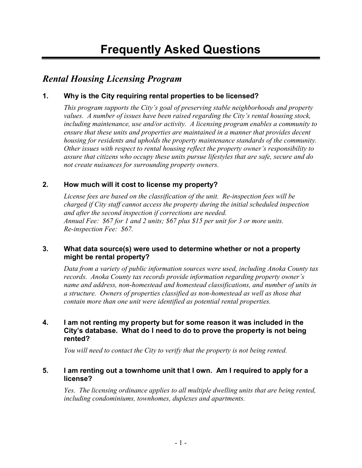# Rental Housing Licensing Program

## 1. Why is the City requiring rental properties to be licensed?

This program supports the City's goal of preserving stable neighborhoods and property values. A number of issues have been raised regarding the City's rental housing stock, including maintenance, use and/or activity. A licensing program enables a community to ensure that these units and properties are maintained in a manner that provides decent housing for residents and upholds the property maintenance standards of the community. Other issues with respect to rental housing reflect the property owner's responsibility to assure that citizens who occupy these units pursue lifestyles that are safe, secure and do not create nuisances for surrounding property owners.

# 2. How much will it cost to license my property?

License fees are based on the classification of the unit. Re-inspection fees will be charged if City staff cannot access the property during the initial scheduled inspection and after the second inspection if corrections are needed. Annual Fee: \$67 for 1 and 2 units; \$67 plus \$15 per unit for 3 or more units. Re-inspection Fee: \$67.

## 3. What data source(s) were used to determine whether or not a property might be rental property?

Data from a variety of public information sources were used, including Anoka County tax records. Anoka County tax records provide information regarding property owner's name and address, non-homestead and homestead classifications, and number of units in a structure. Owners of properties classified as non-homestead as well as those that contain more than one unit were identified as potential rental properties.

## 4. I am not renting my property but for some reason it was included in the City's database. What do I need to do to prove the property is not being rented?

You will need to contact the City to verify that the property is not being rented.

## 5. I am renting out a townhome unit that I own. Am I required to apply for a license?

Yes. The licensing ordinance applies to all multiple dwelling units that are being rented, including condominiums, townhomes, duplexes and apartments.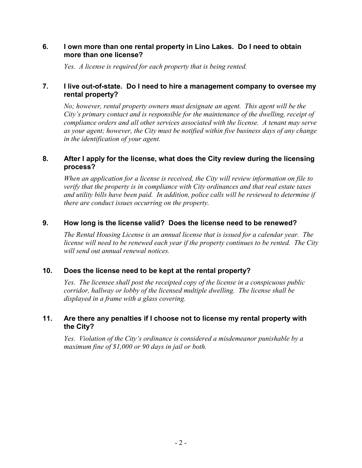#### 6. I own more than one rental property in Lino Lakes. Do I need to obtain more than one license?

Yes. A license is required for each property that is being rented.

## 7. I live out-of-state. Do I need to hire a management company to oversee my rental property?

No; however, rental property owners must designate an agent. This agent will be the City's primary contact and is responsible for the maintenance of the dwelling, receipt of compliance orders and all other services associated with the license. A tenant may serve as your agent; however, the City must be notified within five business days of any change in the identification of your agent.

#### 8. After I apply for the license, what does the City review during the licensing process?

When an application for a license is received, the City will review information on file to verify that the property is in compliance with City ordinances and that real estate taxes and utility bills have been paid. In addition, police calls will be reviewed to determine if there are conduct issues occurring on the property.

#### 9. How long is the license valid? Does the license need to be renewed?

The Rental Housing License is an annual license that is issued for a calendar year. The license will need to be renewed each year if the property continues to be rented. The City will send out annual renewal notices.

#### 10. Does the license need to be kept at the rental property?

Yes. The licensee shall post the receipted copy of the license in a conspicuous public corridor, hallway or lobby of the licensed multiple dwelling. The license shall be displayed in a frame with a glass covering.

## 11. Are there any penalties if I choose not to license my rental property with the City?

Yes. Violation of the City's ordinance is considered a misdemeanor punishable by a maximum fine of \$1,000 or 90 days in jail or both.